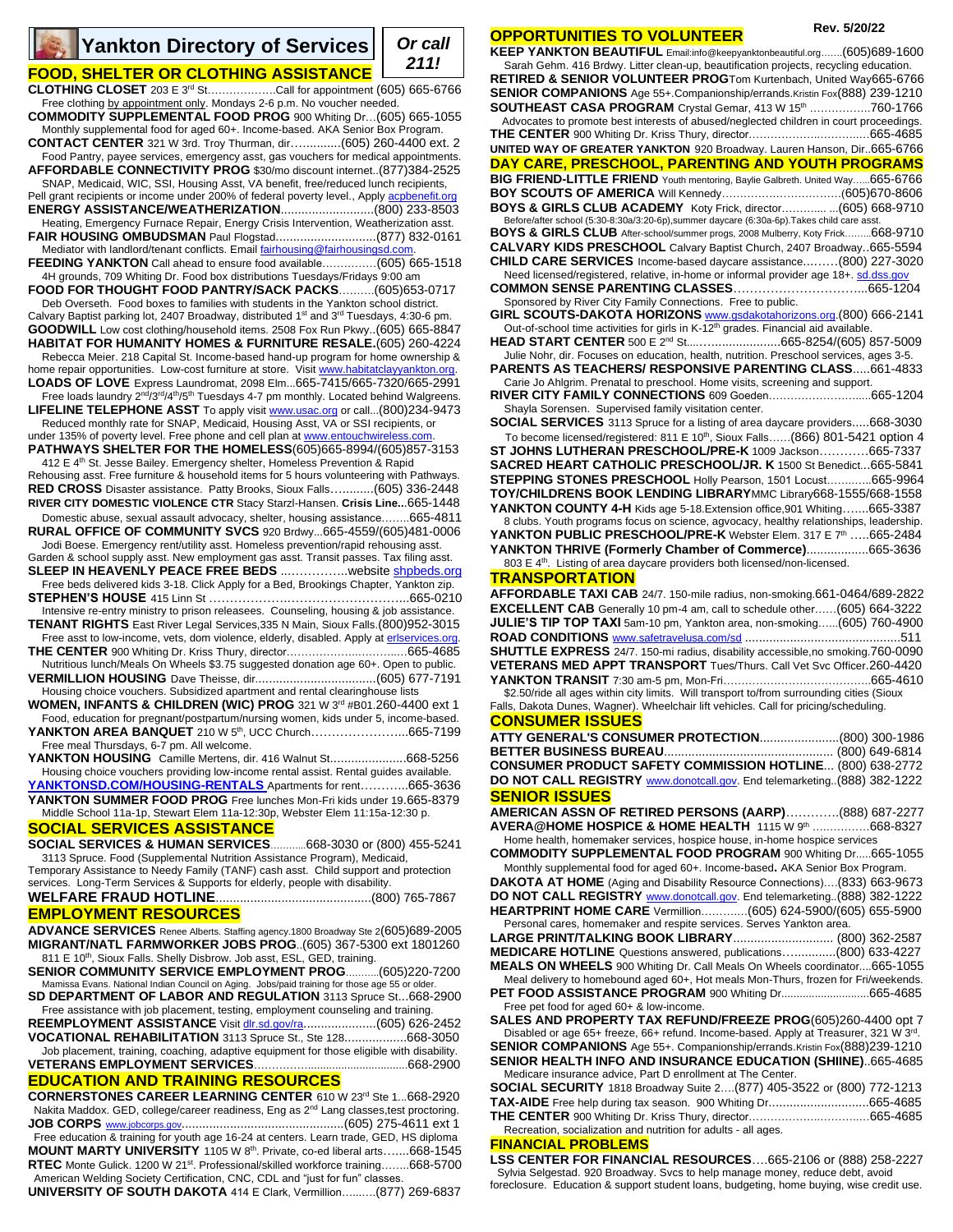**CLOTHING CLOSET** 203 E 3rd St……………….Call for appointment (605) 665-6766

Free clothing by appointment only. Mondays 2-6 p.m. No voucher needed. **COMMODITY SUPPLEMENTAL FOOD PROG** 900 Whiting Dr…(605) 665-1055 Monthly supplemental food for aged 60+. Income-based. AKA Senior Box Program. **CONTACT CENTER** 321 W 3rd. Troy Thurman, dir…...........(605) 260-4400 ext. 2 Food Pantry, payee services, emergency asst, gas vouchers for medical appointments. **AFFORDABLE CONNECTIVITY PROG** \$30/mo discount internet..(877)384-2525 SNAP, Medicaid, WIC, SSI, Housing Asst, VA benefit, free/reduced lunch recipients, Pell grant recipients or income under 200% of federal poverty level., Appl[y acpbenefit.org](http://www.getemergencybroadband.org/) **ENERGY ASSISTANCE/WEATHERIZATION**...........................(800) 233-8503 Heating, Emergency Furnace Repair, Energy Crisis Intervention, Weatherization asst. **FAIR HOUSING OMBUDSMAN** Paul Flogstad.............................(877) 832-0161 Mediator with landlord/tenant conflicts. Emai[l fairhousing@fairhousingsd.com.](mailto:fairhousing@fairhousingsd.com) **FEEDING YANKTON** Call ahead to ensure food available……………(605) 665-1518 4H grounds, 709 Whiting Dr. Food box distributions Tuesdays/Fridays 9:00 am **FOOD FOR THOUGHT FOOD PANTRY/SACK PACKS**……….(605)653-0717 Deb Overseth. Food boxes to families with students in the Yankton school district. Calvary Baptist parking lot, 2407 Broadway, distributed 1<sup>st</sup> and 3<sup>rd</sup> Tuesdays, 4:30-6 pm. **GOODWILL** Low cost clothing/household items. 2508 Fox Run Pkwy..(605) 665-8847 **HABITAT FOR HUMANITY HOMES & FURNITURE RESALE.**(605) 260-4224

Rebecca Meier. 218 Capital St. Income-based hand-up program for home ownership & home repair opportunities. Low-cost furniture at store. Visit [www.habitatclayyankton.org.](http://www.habitatclayyankton.org/) **LOADS OF LOVE** Express Laundromat, 2098 Elm...665-7415/665-7320/665-2991

Free loads laundry 2<sup>nd</sup>/3<sup>rd</sup>/4<sup>th</sup>/5<sup>th</sup> Tuesdays 4-7 pm monthly. Located behind Walgreens. LIFELINE TELEPHONE ASST To apply visit **www.usac.org** or call...(800)234-9473 Reduced monthly rate for SNAP, Medicaid, Housing Asst, VA or SSI recipients, or

under 135% of poverty level. Free phone and cell plan at www.entouchwireless.com

**PATHWAYS SHELTER FOR THE HOMELESS**(605)665-8994/(605)857-3153 412 E 4<sup>th</sup> St. Jesse Bailey. Emergency shelter, Homeless Prevention & Rapid

Rehousing asst. Free furniture & household items for 5 hours volunteering with Pathways. **RED CROSS** Disaster assistance. Patty Brooks, Sioux Falls….........(605) 336-2448 **RIVER CITY DOMESTIC VIOLENCE CTR** Stacy Starzl-Hansen. **Crisis Line..**.665-1448 Domestic abuse, sexual assault advocacy, shelter, housing assistance……..665-4811

**RURAL OFFICE OF COMMUNITY SVCS** 920 Brdwy...665-4559/(605)481-0006 Jodi Boese. Emergency rent/utility asst. Homeless prevention/rapid rehousing asst. Garden & school supply asst. New employment gas asst. Transit passes. Tax filing asst.

**SLEEP IN HEAVENLY PEACE FREE BEDS** ...…………..websit[e shpbeds.org](http://www.shpbeds.org/)  Free beds delivered kids 3-18. Click Apply for a Bed, Brookings Chapter, Yankton zip.

**STEPHEN'S HOUSE** 415 Linn St ……………….………………………...665-0210 Intensive re-entry ministry to prison releasees. Counseling, housing & job assistance.

**TENANT RIGHTS** East River Legal Services,335 N Main, Sioux Falls.(800)952-3015 Free asst to low-income, vets, dom violence, elderly, disabled. Apply at erlservices.org

**THE CENTER** 900 Whiting Dr. Kriss Thury, director………………..………..…665-4685 Nutritious lunch/Meals On Wheels \$3.75 suggested donation age 60+. Open to public.

**VERMILLION HOUSING** Dave Theisse, dir...................................(605) 677-7191 Housing choice vouchers. Subsidized apartment and rental clearinghouse lists

**WOMEN, INFANTS & CHILDREN (WIC) PROG** 321 W 3<sup>rd</sup> #B01.260-4400 ext 1 Food, education for pregnant/postpartum/nursing women, kids under 5, income-based.

**YANKTON AREA BANQUET** 210 W 5<sup>th</sup>, UCC Church.............................665-7199 Free meal Thursdays, 6-7 pm. All welcome. **YANKTON HOUSING** Camille Mertens, dir. 416 Walnut St......................668-5256

Housing choice vouchers providing low-income rental assist. Rental guides available. **[YANKTONSD.COM/HOUSING-](http://www.yanktonsd.com/HOUSING)RENTALS** Apartments for rent………...665-3636

**YANKTON SUMMER FOOD PROG** Free lunches Mon-Fri kids under 19.665-8379 Middle School 11a-1p, Stewart Elem 11a-12:30p, Webster Elem 11:15a-12:30 p.

## **SOCIAL SERVICES ASSISTANCE**

**SOCIAL SERVICES & HUMAN SERVICES**………...668-3030 or (800) 455-5241 3113 Spruce. Food (Supplemental Nutrition Assistance Program), Medicaid,

Temporary Assistance to Needy Family (TANF) cash asst. Child support and protection services. Long-Term Services & Supports for elderly, people with disability.

**WELFARE FRAUD HOTLINE**.............................................(800) 765-7867 **EMPLOYMENT RESOURCES**

**ADVANCE SERVICES** Renee Alberts. Staffing agency.1800 Broadway Ste 2(605)689-2005 **MIGRANT/NATL FARMWORKER JOBS PROG**..(605) 367-5300 ext 1801260 811 E 10<sup>th</sup>, Sioux Falls. Shelly Disbrow. Job asst, ESL, GED, training.

**SENIOR COMMUNITY SERVICE EMPLOYMENT PROG**………..(605)220-7200 Mamissa Evans. National Indian Council on Aging. Jobs/paid training for those age 55 or older.

**SD DEPARTMENT OF LABOR AND REGULATION** 3113 Spruce St...668-2900 Free assistance with job placement, testing, employment counseling and training.

**REEMPLOYMENT ASSISTANCE** Visit dlr.sd.gov/ra......................(605) 626-2452 **VOCATIONAL REHABILITATION** 3113 Spruce St., Ste 128..................668-3050

Job placement, training, coaching, adaptive equipment for those eligible with disability. **VETERANS EMPLOYMENT SERVICES……………..** 

# **EDUCATION AND TRAINING RESOURCES**

**CORNERSTONES CAREER LEARNING CENTER** 610 W 23rd Ste 1...668-2920 Nakita Maddox. GED, college/career readiness, Eng as 2<sup>nd</sup> Lang classes,test proctoring. **JOB CORPS** [www.jobcorps.gov](http://www.jobcorps.gov/)...............................................(605) 275-4611 ext 1 Free education & training for youth age 16-24 at centers. Learn trade, GED, HS diploma **MOUNT MARTY UNIVERSITY** 1105 W 8th. Private, co-ed liberal arts…....668-1545 RTEC Monte Gulick. 1200 W 21<sup>st</sup>. Professional/skilled workforce training……..668-5700 American Welding Society Certification, CNC, CDL and "just for fun" classes.

**UNIVERSITY OF SOUTH DAKOTA** 414 E Clark, Vermillion…...….(877) 269-6837

## **OPPORTUNITIES TO VOLUNTEER**

**KEEP YANKTON BEAUTIFUL** Email:info@keepyanktonbeautiful.org…….(605)689-1600 Sarah Gehm. 416 Brdwy. Litter clean-up, beautification projects, recycling education. **RETIRED & SENIOR VOLUNTEER PROG**Tom Kurtenbach, United Way665-6766 **SENIOR COMPANIONS** Age 55+.Companionship/errands.Kristin Fox(888) 239-1210 **SOUTHEAST CASA PROGRAM** Crystal Gemar, 413 W 15<sup>th</sup> ……………..760-1766 Advocates to promote best interests of abused/neglected children in court proceedings. **THE CENTER** 900 Whiting Dr. Kriss Thury, director………………..………..…665-4685 **UNITED WAY OF GREATER YANKTON** 920 Broadway. Lauren Hanson, Dir..665-6766 **DAY CARE, PRESCHOOL, PARENTING AND YOUTH PROGRAMS BIG FRIEND-LITTLE FRIEND** Youth mentoring, Baylie Galbreth. United Way…...665-6766 **BOY SCOUTS OF AMERICA** Will Kennedy……………………………(605)670-8606 **BOYS & GIRLS CLUB ACADEMY** Koty Frick, director……….... ...(605) 668-9710 Before/after school (5:30-8:30a/3:20-6p),summer daycare (6:30a-6p). Takes child care asst. **BOYS & GIRLS CLUB** After-school/summer progs, 2008 Mulberry, Koty Frick……...668-9710 **CALVARY KIDS PRESCHOOL** Calvary Baptist Church, 2407 Broadway..665-5594 **CHILD CARE SERVICES** Income-based daycare assistance...……(800) 227-3020 Need licensed/registered, relative, in-home or informal provider age 18+. [sd.dss.gov](http://www.sd.dss.gov/) **COMMON SENSE PARENTING CLASSES**…………………………...665-1204 Sponsored by River City Family Connections. Free to public. **GIRL SCOUTS-DAKOTA HORIZONS** [www.gsdakotahorizons.org.](http://www.gsdakotahorizons.org/)(800) 666-2141 Out-of-school time activities for girls in K-12<sup>th</sup> grades. Financial aid available. **HEAD START CENTER** 500 E 2<sup>nd</sup> St................................665-8254/(605) 857-5009 Julie Nohr, dir. Focuses on education, health, nutrition. Preschool services, ages 3-5. **PARENTS AS TEACHERS/ RESPONSIVE PARENTING CLASS**.....661-4833

Carie Jo Ahlgrim. Prenatal to preschool. Home visits, screening and support. **RIVER CITY FAMILY CONNECTIONS** 609 Goeden…………………….....665-1204

Shayla Sorensen. Supervised family visitation center. **SOCIAL SERVICES** 3113 Spruce for a listing of area daycare providers.....668-3030

To become licensed/registered: 811 E 10<sup>th</sup>, Sioux Falls...... (866) 801-5421 option 4 **ST JOHNS LUTHERAN PRESCHOOL/PRE-K** 1009 Jackson…………665-7337 **SACRED HEART CATHOLIC PRESCHOOL/JR. K** 1500 St Benedict...665-5841 **STEPPING STONES PRESCHOOL** Holly Pearson, 1501 Locust……..…..665-9964 **TOY/CHILDRENS BOOK LENDING LIBRARY**MMC Library668-1555/668-1558 **YANKTON COUNTY 4-H** Kids age 5-18.Extension office,901 Whiting…....665-3387

8 clubs. Youth programs focus on science, agvocacy, healthy relationships, leadership. **YANKTON PUBLIC PRESCHOOL/PRE-K** Webster Elem. 317 E 7th …..665-2484 **YANKTON THRIVE (Formerly Chamber of Commerce)**..................665-3636

803 E 4<sup>th</sup>. Listing of area daycare providers both licensed/non-licensed.

## **TRANSPORTATION**

**AFFORDABLE TAXI CAB** 24/7. 150-mile radius, non-smoking.661-0464/689-2822 **EXCELLENT CAB** Generally 10 pm-4 am, call to schedule other……(605) 664-3222 **JULIE'S TIP TOP TAXI** 5am-10 pm, Yankton area, non-smoking…...(605) 760-4900 **ROAD CONDITIONS** [www.safetravelusa.com/sd](http://www.safetravelusa.com/sd) .............................................511 **SHUTTLE EXPRESS** 24/7. 150-mi radius, disability accessible,no smoking.760-0090 **VETERANS MED APPT TRANSPORT** Tues/Thurs. Call Vet Svc Officer.260-4420 **YANKTON TRANSIT** 7:30 am-5 pm, Mon-Fri…………………………………..665-4610 \$2.50/ride all ages within city limits. Will transport to/from surrounding cities (Sioux Falls, Dakota Dunes, Wagner). Wheelchair lift vehicles. Call for pricing/scheduling.

## **CONSUMER ISSUES**

| <u> 8888888888888</u>                                                   |
|-------------------------------------------------------------------------|
|                                                                         |
|                                                                         |
| CONSUMER PRODUCT SAFETY COMMISSION HOTLINE (800) 638-2772               |
| DO NOT CALL REGISTRY www.donotcall.gov. End telemarketing(888) 382-1222 |
| <b>SENIOR ISSUES</b>                                                    |
| <b>AMERICAN ASSN OF RETIRED PERSONS (AARP)(888) 687-2277</b>            |

**ARP)**………….(888) t **AVERA@HOME HOSPICE & HOME HEALTH** 1115 W 9th ….…………668-8327 Home health, homemaker services, hospice house, in-home hospice services

**COMMODITY SUPPLEMENTAL FOOD PROGRAM** 900 Whiting Dr.....665-1055

Monthly supplemental food for aged 60+. Income-based**.** AKA Senior Box Program. **DAKOTA AT HOME** (Aging and Disability Resource Connections)….(833) 663-9673 **DO NOT CALL REGISTRY** [www.donotcall.gov.](http://www.donotcall.gov/) End telemarketing..(888) 382-1222 **HEARTPRINT HOME CARE** Vermillion……….…(605) 624-5900/(605) 655-5900 Personal cares, homemaker and respite services. Serves Yankton area.

**LARGE PRINT/TALKING BOOK LIBRARY**............................. (800) 362-2587 **MEDICARE HOTLINE** Questions answered, publications…............(800) 633-4227

**MEALS ON WHEELS** 900 Whiting Dr. Call Meals On Wheels coordinator....665-1055

Meal delivery to homebound aged 60+, Hot meals Mon-Thurs, frozen for Fri/weekends. **PET FOOD ASSISTANCE PROGRAM** 900 Whiting Dr.............................665-4685

Free pet food for aged 60+ & low-income. **SALES AND PROPERTY TAX REFUND/FREEZE PROG**(605)260-4400 opt 7 Disabled or age 65+ freeze, 66+ refund. Income-based. Apply at Treasurer, 321 W 3<sup>rd</sup>.

**SENIOR COMPANIONS** Age 55+. Companionship/errands.Kristin Fox(888)239-1210 **SENIOR HEALTH INFO AND INSURANCE EDUCATION (SHIINE)**..665-4685

| SENIUR HEALTH INFU AND INSURANCE EDUCATION (SHIINE)000-4000            |             |
|------------------------------------------------------------------------|-------------|
| Medicare insurance advice. Part D enrollment at The Center.            |             |
| SOCIAL SECURITY 1818 Broadway Suite 2 (877) 405-3522 or (800) 772-1213 |             |
| <b>TAX-AIDE</b> Free help during tax season. 900 Whiting Dr665-4685    |             |
| THE CENTER coordinates in the state of the state of $\mathbf{r}$       | $CCT$ $ACT$ |

**THE CENTER** 900 Whiting Dr. Kriss Thury, director………………..………..…665-4685 Recreation, socialization and nutrition for adults - all ages.

**FINANCIAL PROBLEMS**

**LSS CENTER FOR FINANCIAL RESOURCES**….665-2106 or (888) 258-2227 Sylvia Selgestad. 920 Broadway. Svcs to help manage money, reduce debt, avoid foreclosure. Education & support student loans, budgeting, home buying, wise credit use.